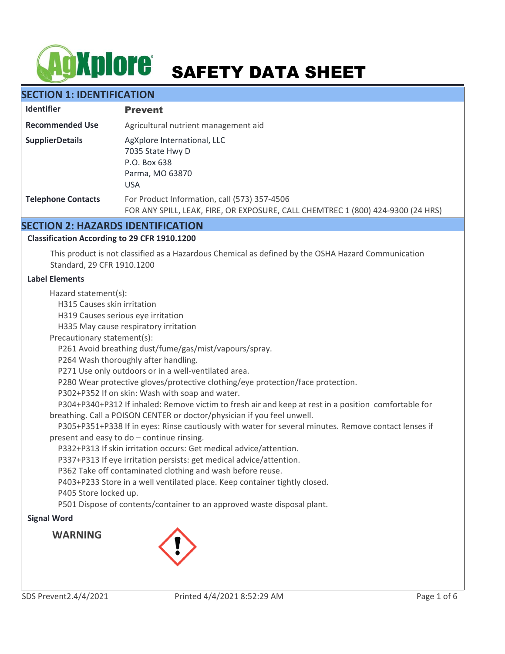# **AgXplore** SAFETY DATA SHEET

# **SECTION 1: IDENTIFICATION**

| <b>Identifier</b>         | <b>Prevent</b>                                                                                                                  |  |
|---------------------------|---------------------------------------------------------------------------------------------------------------------------------|--|
| <b>Recommended Use</b>    | Agricultural nutrient management aid                                                                                            |  |
| <b>SupplierDetails</b>    | AgXplore International, LLC<br>7035 State Hwy D<br>P.O. Box 638<br>Parma, MO 63870<br><b>USA</b>                                |  |
| <b>Telephone Contacts</b> | For Product Information, call (573) 357-4506<br>FOR ANY SPILL, LEAK, FIRE, OR EXPOSURE, CALL CHEMTREC 1 (800) 424-9300 (24 HRS) |  |

## **SECTION 2: HAZARDS IDENTIFICATION**

#### **Classification According to 29 CFR 1910.1200**

This product is not classified as a Hazardous Chemical as defined by the OSHA Hazard Communication Standard, 29 CFR 1910.1200

#### **Label Elements**

Hazard statement(s):

H315 Causes skin irritation

H319 Causes serious eye irritation

H335 May cause respiratory irritation

Precautionary statement(s):

P261 Avoid breathing dust/fume/gas/mist/vapours/spray.

P264 Wash thoroughly after handling.

P271 Use only outdoors or in a well-ventilated area.

P280 Wear protective gloves/protective clothing/eye protection/face protection.

P302+P352 If on skin: Wash with soap and water.

 P304+P340+P312 If inhaled: Remove victim to fresh air and keep at rest in a position comfortable for breathing. Call a POISON CENTER or doctor/physician if you feel unwell.

 P305+P351+P338 If in eyes: Rinse cautiously with water for several minutes. Remove contact lenses if present and easy to do – continue rinsing.

P332+P313 If skin irritation occurs: Get medical advice/attention.

P337+P313 If eye irritation persists: get medical advice/attention.

P362 Take off contaminated clothing and wash before reuse.

P403+P233 Store in a well ventilated place. Keep container tightly closed.

P405 Store locked up.

P501 Dispose of contents/container to an approved waste disposal plant.

#### **Signal Word**

**WARNING**

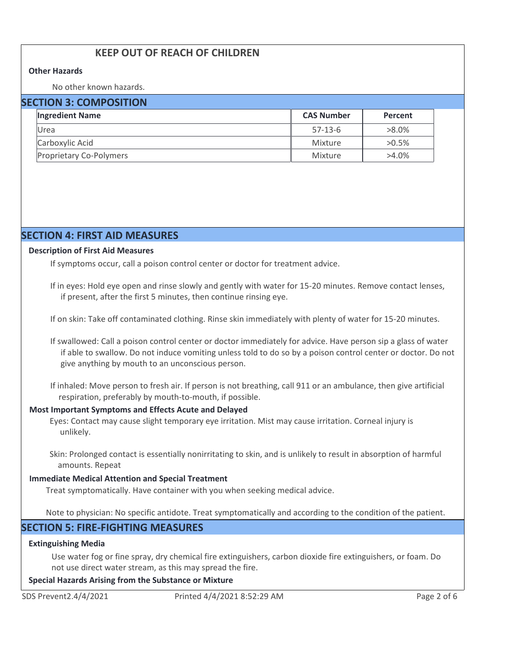# **KEEP OUT OF REACH OF CHILDREN**

#### **Other Hazards**

No other known hazards.

#### **SECTION 3: COMPOSITION**

| <b>Ingredient Name</b>         | <b>CAS Number</b> | <b>Percent</b> |  |  |
|--------------------------------|-------------------|----------------|--|--|
| Urea                           | $57-13-6$         | $>8.0\%$       |  |  |
| Carboxylic Acid                | Mixture           | $>0.5\%$       |  |  |
| <b>Proprietary Co-Polymers</b> | Mixture           | $>4.0\%$       |  |  |

# **SECTION 4: FIRST AID MEASURES**

#### **Description of First Aid Measures**

If symptoms occur, call a poison control center or doctor for treatment advice.

If in eyes: Hold eye open and rinse slowly and gently with water for 15-20 minutes. Remove contact lenses, if present, after the first 5 minutes, then continue rinsing eye.

If on skin: Take off contaminated clothing. Rinse skin immediately with plenty of water for 15-20 minutes.

If swallowed: Call a poison control center or doctor immediately for advice. Have person sip a glass of water if able to swallow. Do not induce vomiting unless told to do so by a poison control center or doctor. Do not give anything by mouth to an unconscious person.

If inhaled: Move person to fresh air. If person is not breathing, call 911 or an ambulance, then give artificial respiration, preferably by mouth-to-mouth, if possible.

#### **Most Important Symptoms and Effects Acute and Delayed**

Eyes: Contact may cause slight temporary eye irritation. Mist may cause irritation. Corneal injury is unlikely.

Skin: Prolonged contact is essentially nonirritating to skin, and is unlikely to result in absorption of harmful amounts. Repeat

#### **Immediate Medical Attention and Special Treatment**

Treat symptomatically. Have container with you when seeking medical advice.

Note to physician: No specific antidote. Treat symptomatically and according to the condition of the patient.

# **SECTION 5: FIRE-FIGHTING MEASURES**

#### **Extinguishing Media**

Use water fog or fine spray, dry chemical fire extinguishers, carbon dioxide fire extinguishers, or foam. Do not use direct water stream, as this may spread the fire.

#### **Special Hazards Arising from the Substance or Mixture**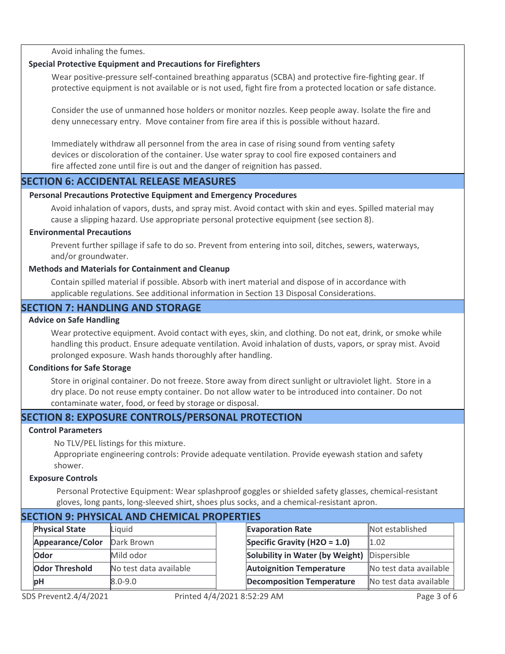Avoid inhaling the fumes.

#### **Special Protective Equipment and Precautions for Firefighters**

Wear positive-pressure self-contained breathing apparatus (SCBA) and protective fire-fighting gear. If protective equipment is not available or is not used, fight fire from a protected location or safe distance.

Consider the use of unmanned hose holders or monitor nozzles. Keep people away. Isolate the fire and deny unnecessary entry. Move container from fire area if this is possible without hazard.

Immediately withdraw all personnel from the area in case of rising sound from venting safety devices or discoloration of the container. Use water spray to cool fire exposed containers and fire affected zone until fire is out and the danger of reignition has passed.

## **SECTION 6: ACCIDENTAL RELEASE MEASURES**

#### **Personal Precautions Protective Equipment and Emergency Procedures**

Avoid inhalation of vapors, dusts, and spray mist. Avoid contact with skin and eyes. Spilled material may cause a slipping hazard. Use appropriate personal protective equipment (see section 8).

#### **Environmental Precautions**

Prevent further spillage if safe to do so. Prevent from entering into soil, ditches, sewers, waterways, and/or groundwater.

#### **Methods and Materials for Containment and Cleanup**

Contain spilled material if possible. Absorb with inert material and dispose of in accordance with applicable regulations. See additional information in Section 13 Disposal Considerations.

# **SECTION 7: HANDLING AND STORAGE**

#### **Advice on Safe Handling**

Wear protective equipment. Avoid contact with eyes, skin, and clothing. Do not eat, drink, or smoke while handling this product. Ensure adequate ventilation. Avoid inhalation of dusts, vapors, or spray mist. Avoid prolonged exposure. Wash hands thoroughly after handling.

#### **Conditions for Safe Storage**

Store in original container. Do not freeze. Store away from direct sunlight or ultraviolet light. Store in a dry place. Do not reuse empty container. Do not allow water to be introduced into container. Do not contaminate water, food, or feed by storage or disposal.

# **SECTION 8: EXPOSURE CONTROLS/PERSONAL PROTECTION**

#### **Control Parameters**

No TLV/PEL listings for this mixture.

Appropriate engineering controls: Provide adequate ventilation. Provide eyewash station and safety shower.

#### **Exposure Controls**

Personal Protective Equipment: Wear splashproof goggles or shielded safety glasses, chemical-resistant gloves, long pants, long-sleeved shirt, shoes plus socks, and a chemical-resistant apron.

| SECTION 9: PHYSICAL AND CHEMICAL PROPERTIES |                        |  |                                  |                        |  |  |  |
|---------------------------------------------|------------------------|--|----------------------------------|------------------------|--|--|--|
| <b>Physical State</b>                       | Liquid                 |  | <b>Evaporation Rate</b>          | Not established        |  |  |  |
| Appearance/Color                            | Dark Brown             |  | Specific Gravity (H2O = 1.0)     | 1.02                   |  |  |  |
| <b>Odor</b>                                 | Mild odor              |  | Solubility in Water (by Weight)  | Dispersible            |  |  |  |
| <b>Odor Threshold</b>                       | No test data available |  | <b>Autoignition Temperature</b>  | No test data available |  |  |  |
| <b>bH</b>                                   | $8.0 - 9.0$            |  | <b>Decomposition Temperature</b> | No test data available |  |  |  |
|                                             |                        |  |                                  |                        |  |  |  |

# **SECTION 9: PHYSICAL AND CHEMICAL PROPERTIES**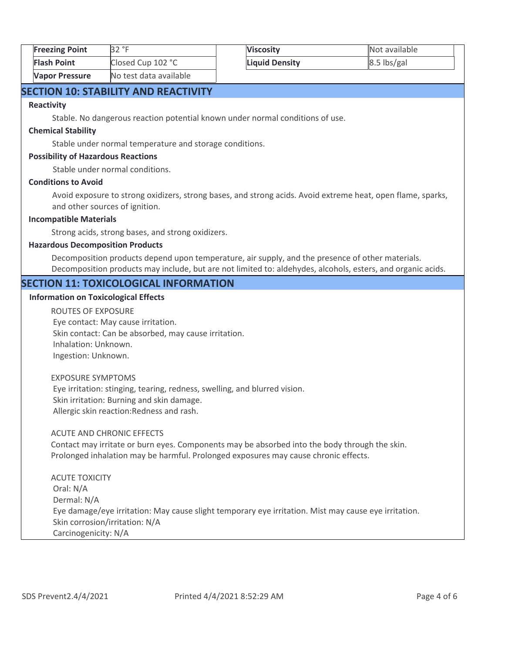| <b>Freezing Point</b> | 32 °F                  | <b>Viscosity</b>      | Not available |
|-----------------------|------------------------|-----------------------|---------------|
| <b>Flash Point</b>    | Closed Cup 102 °C      | <b>Liquid Density</b> | $8.5$ lbs/gal |
| <b>Vapor Pressure</b> | No test data available |                       |               |

# **SECTION 10: STABILITY AND REACTIVITY**

#### **Reactivity**

Stable. No dangerous reaction potential known under normal conditions of use.

#### **Chemical Stability**

Stable under normal temperature and storage conditions.

#### **Possibility of Hazardous Reactions**

Stable under normal conditions.

#### **Conditions to Avoid**

Avoid exposure to strong oxidizers, strong bases, and strong acids. Avoid extreme heat, open flame, sparks, and other sources of ignition.

#### **Incompatible Materials**

Strong acids, strong bases, and strong oxidizers.

#### **Hazardous Decomposition Products**

Decomposition products depend upon temperature, air supply, and the presence of other materials. Decomposition products may include, but are not limited to: aldehydes, alcohols, esters, and organic acids.

#### **SECTION 11: TOXICOLOGICAL INFORMATION**

#### **Information on Toxicological Effects**

ROUTES OF EXPOSURE Eye contact: May cause irritation. Skin contact: Can be absorbed, may cause irritation. Inhalation: Unknown. Ingestion: Unknown.

#### EXPOSURE SYMPTOMS Eye irritation: stinging, tearing, redness, swelling, and blurred vision. Skin irritation: Burning and skin damage. Allergic skin reaction:Redness and rash.

#### ACUTE AND CHRONIC EFFECTS

Contact may irritate or burn eyes. Components may be absorbed into the body through the skin. Prolonged inhalation may be harmful. Prolonged exposures may cause chronic effects.

ACUTE TOXICITY Oral: N/A Dermal: N/A Eye damage/eye irritation: May cause slight temporary eye irritation. Mist may cause eye irritation. Skin corrosion/irritation: N/A Carcinogenicity: N/A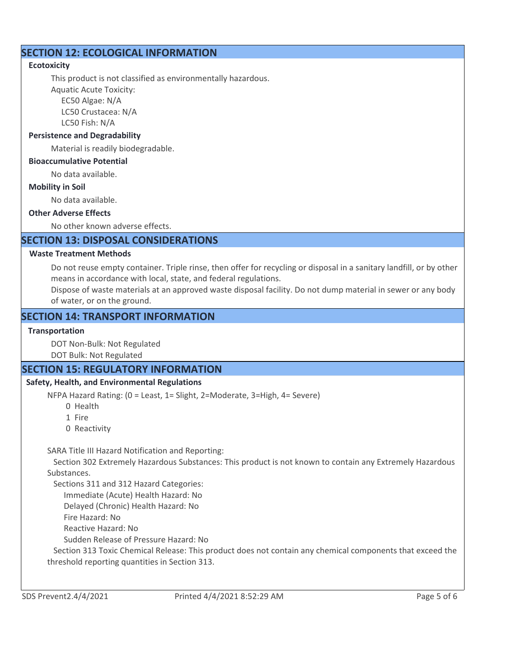# **SECTION 12: ECOLOGICAL INFORMATION**

#### **Ecotoxicity**

This product is not classified as environmentally hazardous.

Aquatic Acute Toxicity: EC50 Algae: N/A

 LC50 Crustacea: N/A LC50 Fish: N/A

# **Persistence and Degradability**

Material is readily biodegradable.

#### **Bioaccumulative Potential**

No data available.

#### **Mobility in Soil**

No data available.

#### **Other Adverse Effects**

No other known adverse effects.

# **SECTION 13: DISPOSAL CONSIDERATIONS**

#### **Waste Treatment Methods**

Do not reuse empty container. Triple rinse, then offer for recycling or disposal in a sanitary landfill, or by other means in accordance with local, state, and federal regulations.

Dispose of waste materials at an approved waste disposal facility. Do not dump material in sewer or any body of water, or on the ground.

# **SECTION 14: TRANSPORT INFORMATION**

#### **Transportation**

DOT Non-Bulk: Not Regulated

DOT Bulk: Not Regulated

# **SECTION 15: REGULATORY INFORMATION**

#### **Safety, Health, and Environmental Regulations**

NFPA Hazard Rating: (0 = Least, 1= Slight, 2=Moderate, 3=High, 4= Severe)

- 0 Health
- 1 Fire
- 0 Reactivity

SARA Title III Hazard Notification and Reporting:

 Section 302 Extremely Hazardous Substances: This product is not known to contain any Extremely Hazardous Substances.

Sections 311 and 312 Hazard Categories:

Immediate (Acute) Health Hazard: No

Delayed (Chronic) Health Hazard: No

Fire Hazard: No

Reactive Hazard: No

Sudden Release of Pressure Hazard: No

 Section 313 Toxic Chemical Release: This product does not contain any chemical components that exceed the threshold reporting quantities in Section 313.